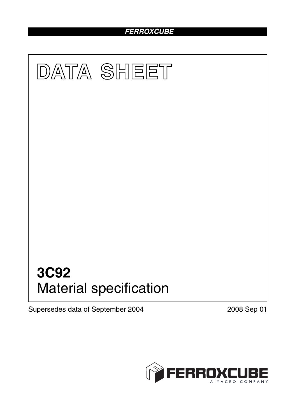# *FERROXCUBE*



Supersedes data of September 2004 2008 Sep 01

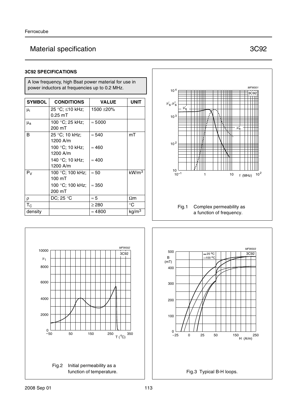# Material specification **3C92**

### **3C92 SPECIFICATIONS**

#### A low frequency, high Bsat power material for use in power inductors at frequencies up to 0.2 MHz.

| <b>SYMBOL</b>  | <b>CONDITIONS</b>                    | <b>VALUE</b>   | <b>UNIT</b>       |
|----------------|--------------------------------------|----------------|-------------------|
| $\mu_i$        | 25 °C; ≤10 kHz;<br>$0.25$ mT         | 1500 ±20%      |                   |
| $\mu_{a}$      | 100 °C; 25 kHz;<br>200 mT            | $\approx 5000$ |                   |
| B              | 25 °C; 10 kHz;<br>1200 A/m           | $\approx 540$  | mT                |
|                | 100 °C; 10 kHz;<br>1200 A/m          | $\approx 460$  |                   |
|                | 140 °C; 10 kHz;<br>1200 A/m          | $\approx 400$  |                   |
| P <sub>V</sub> | 100 °C; 100 kHz;<br>$100 \text{ mT}$ | $\approx 50$   | kW/m <sup>3</sup> |
|                | 100 °C; 100 kHz;<br>200 mT           | $\approx 350$  |                   |
| $\rho$         | DC; 25 °C                            | $\approx 5$    | $\Omega$ m        |
| $T_{\rm C}$    |                                      | $\geq$ 280     | °C                |
| density        |                                      | $\approx 4800$ | kg/m <sup>3</sup> |





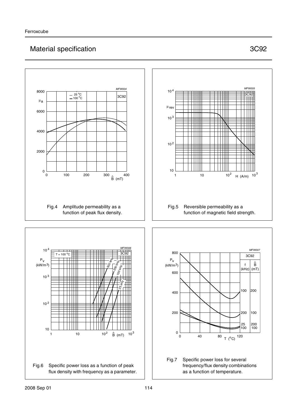# Material specification **3C92**